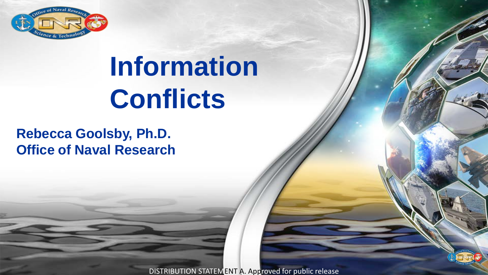

# **Information Conflicts**

#### **Rebecca Goolsby, Ph.D. Office of Naval Research**

DISTRIBUTION STATEMENT A. Approved for public release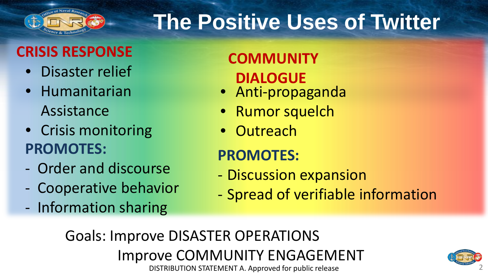

## **The Positive Uses of Twitter**

#### **CRISIS RESPONSE COMMUNITY**

- Disaster relief
- Humanitarian Assistance
- Crisis monitoring **PROMOTES:**
- Order and discourse
- Cooperative behavior
- Information sharing

# **DIALOGUE**

- Anti-propaganda
- Rumor squelch
- Outreach

#### **PROMOTES:**

- Discussion expansion
- Spread of verifiable information

DISTRIBUTION STATEMENT A. Approved for public release Goals: Improve DISASTER OPERATIONS Improve COMMUNITY ENGAGEMENT

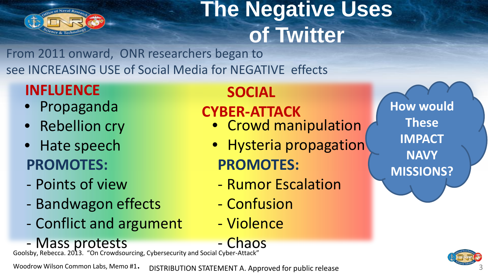

#### **The Negative Uses of Twitter**

From 2011 onward, ONR researchers began to see INCREASING USE of Social Media for NEGATIVE effects

#### **INFLUENCE SOCIAL**

- Propaganda
- Rebellion cry
- Hate speech **PROMOTES:**
- Points of view
- Bandwagon effects
- Conflict and argument
- Chaos Mass protests

Goolsby, Rebecca. 2013. "On Crowdsourcing, Cybersecurity and Social Cyber-Attack"

DISTRIBUTION STATEMENT A. Approved for public release Woodrow Wilson Common Labs, Memo #1.

#### **CYBER-ATTACK**

- Crowd manipulation
- **PROMOTES:** • Hysteria propagation
	- Rumor Escalation
	- Confusion
	- Violence

**How would These IMPACT NAVY MISSIONS?** 

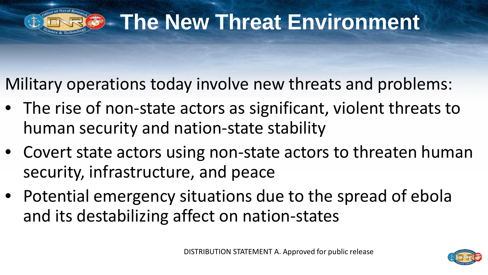

#### **Fig. 3 The New Threat Environment**

Military operations today involve new threats and problems:

- The rise of non-state actors as significant, violent threats to human security and nation-state stability
- Covert state actors using non-state actors to threaten human security, infrastructure, and peace
- Potential emergency situations due to the spread of ebola and its destabilizing affect on nation-states

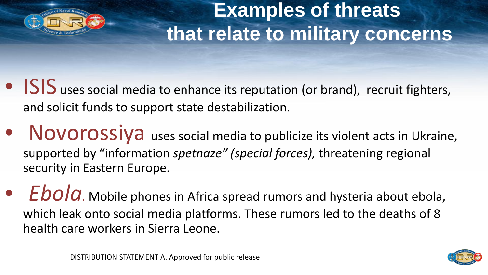

#### **Examples of threats that relate to military concerns**

#### • ISIS uses social media to enhance its reputation (or brand), recruit fighters, and solicit funds to support state destabilization.

- Novorossiya uses social media to publicize its violent acts in Ukraine, supported by "information *spetnaze" (special forces),* threatening regional security in Eastern Europe.
- *Ebola.* Mobile phones in Africa spread rumors and hysteria about ebola, which leak onto social media platforms. These rumors led to the deaths of 8 health care workers in Sierra Leone.

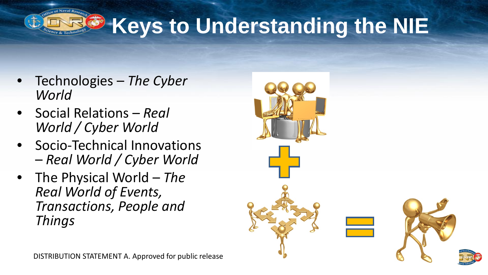

## **Keys to Understanding the NIE**

- Technologies *The Cyber World*
- Social Relations *Real World / Cyber World*
- Socio-Technical Innovations *Real World / Cyber World*
- The Physical World *The Real World of Events, Transactions, People and Things*

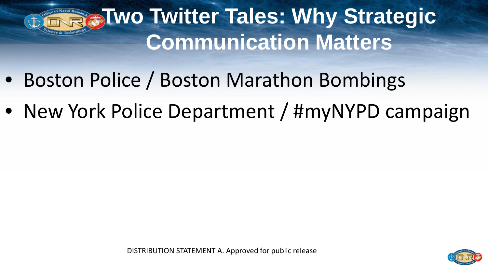## **Two Twitter Tales: Why Strategic Communication Matters**

- Boston Police / Boston Marathon Bombings
- New York Police Department / #myNYPD campaign

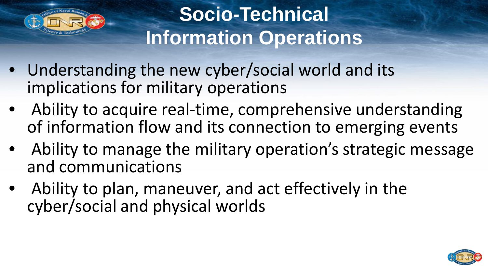

#### **Socio-Technical Information Operations**

- Understanding the new cyber/social world and its implications for military operations
- Ability to acquire real-time, comprehensive understanding of information flow and its connection to emerging events
- Ability to manage the military operation's strategic message and communications
- Ability to plan, maneuver, and act effectively in the cyber/social and physical worlds

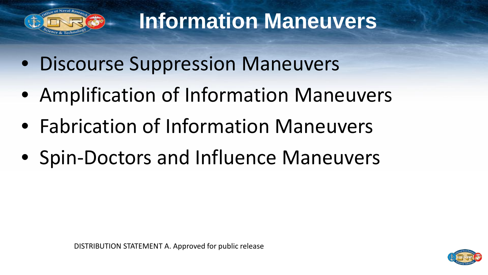

#### **Information Maneuvers**

- Discourse Suppression Maneuvers
- Amplification of Information Maneuvers
- Fabrication of Information Maneuvers
- Spin-Doctors and Influence Maneuvers

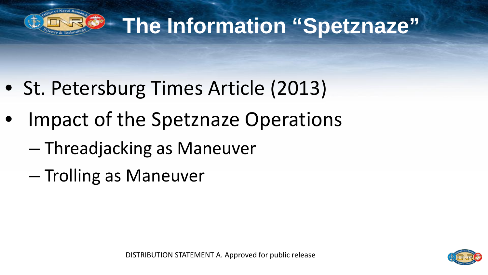

## **The Information "Spetznaze"**

- St. Petersburg Times Article (2013)
- Impact of the Spetznaze Operations
	- Threadjacking as Maneuver
	- Trolling as Maneuver

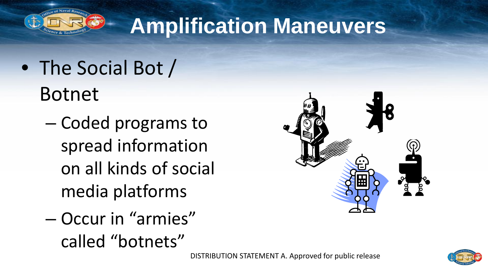

#### **Amplification Maneuvers**

#### • The Social Bot / Botnet

- Coded programs to spread information on all kinds of social media platforms
- Occur in "armies" called "botnets"



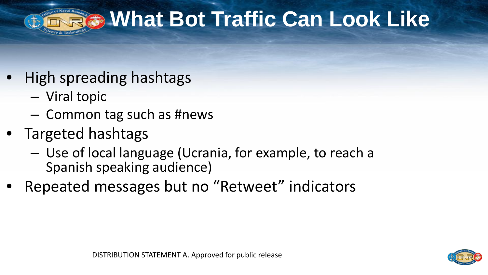

#### **What Bot Traffic Can Look Like**

- High spreading hashtags
	- Viral topic
	- Common tag such as #news
- Targeted hashtags
	- Use of local language (Ucrania, for example, to reach a Spanish speaking audience)
- Repeated messages but no "Retweet" indicators

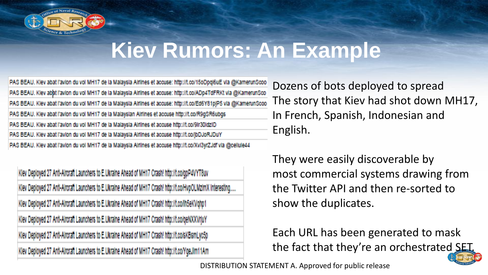

#### **Kiev Rumors: An Example**

PAS BEAU. Kiev abat l'avion du voi MH17 de la Malaysia Airlines et accuse: http://t.co/15oDpqi6uE via @KamerunScoo PAS BEAU. Kiev abat l'avion du voi MH17 de la Malaysia Airlines et accuse: http://t.co/ADp4TdFRKt via @KamerunSco PAS BEAU. Kiev abat l'avion du voi MH17 de la Malaysia Airlines et accuse: http://t.co/Ed6Y81pJP5 via @KamerunScoo PAS BEAU. Kiev abat l'avion du voi MH17 de la Malaysian Airlines et accuse http://t.co/R9gSR6ubgs PAS BEAU. Kiev abat l'avion du voi MH17 de la Malaysia Airlines et accuse http://t.co/9ir30idziD PAS BEAU. Kiev abat l'avion du vol MH17 de la Malaysia Airlines et accuse http://t.co/jbDJoRJDuY PAS BEAU. Kiev abat l'avion du voi MH17 de la Malaysia Airlines et accuse http://t.co/Xvi3yrZJdf via @cellule44

Klev Deployed 27 Anti-Aircraft Launchers to E.Ukraine Ahead of MH17 Crash! http://t.co/qpP4VYT8uv Klev Deployed 27 Anti-Aircraft Launchers to E.Ukraine Ahead of MH17 Crash! http://t.co/HvpOLMzimX Interesting..... Klev Deployed 27 Anti-Aircraft Launchers to E.Ukraine Ahead of MH17 Crash! http://t.co/lh5eKVqhp1 Klev Deployed 27 Anti-Aircraft Launchers to E.Ukraine Ahead of MH17 Crash! http://t.co/qeNXXVrjuY Kiev Deployed 27 Anti-Aircraft Launchers to E.Ukraine Ahead of MH17 Crash! http://t.co/sKBsmLyc5p Klev Deployed 27 Anti-Aircraft Launchers to E.Ukraine Ahead of MH17 Crash! http://t.co/Yge.Jim11Am

Dozens of bots deployed to spread The story that Kiev had shot down MH17, In French, Spanish, Indonesian and English.

They were easily discoverable by most commercial systems drawing from the Twitter API and then re-sorted to show the duplicates.

Each URL has been generated to mask the fact that they're an orchestrated SET.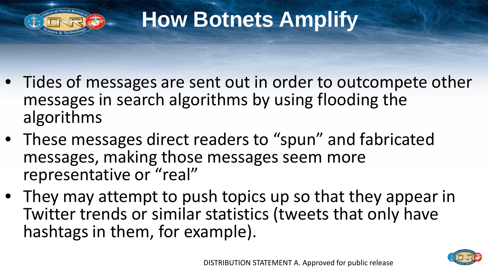

## **How Botnets Amplify**

- Tides of messages are sent out in order to outcompete other messages in search algorithms by using flooding the algorithms
- These messages direct readers to "spun" and fabricated messages, making those messages seem more representative or "real"
- They may attempt to push topics up so that they appear in Twitter trends or similar statistics (tweets that only have hashtags in them, for example).

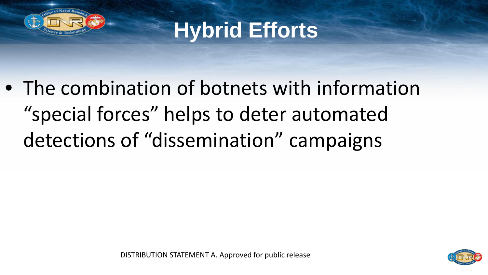

**Hybrid Efforts** 

• The combination of botnets with information "special forces" helps to deter automated detections of "dissemination" campaigns

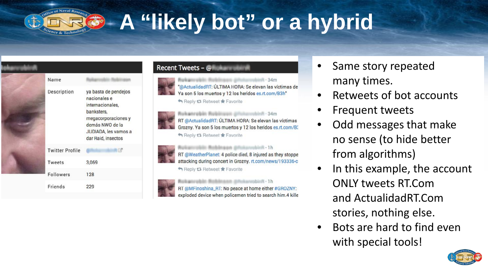

## **A "likely bot" or a hybrid**



#### Recent Tweets - @

Rokannebin Robinson @hotercobinR - 34m @ActualidadRT: ÚLTIMA HORA: Se elevan las víctimas de Ya son 5 los muertos y 12 los heridos es.rt.com/B3h" Reply 17 Retweet \* Favorite

Rukanrobin Robinson @fisharcobinft - 34m RT @ActualidadRT: ÚLTIMA HORA: Se elevan las víctimas Grozny. Ya son 5 los muertos y 12 los heridos es.rt.com/B3 Reply to Retweet Travorite

Rekannskin Robinson photonyclott 1h RT @WeatherPlanet: 4 police died, 8 injured as they stoppe attacking during concert in Grozny. rt.com/news/193336-c Reply to Retweet \* Favorite



RT @MFinoshina\_RT: No peace at home either #GROZNY: exploded device when policemen tried to search him.4 kille

- Same story repeated many times.
- Retweets of bot accounts
- Frequent tweets
- Odd messages that make no sense (to hide better from algorithms)
- In this example, the account ONLY tweets RT.Com and ActualidadRT.Com stories, nothing else.
- Bots are hard to find even with special tools!

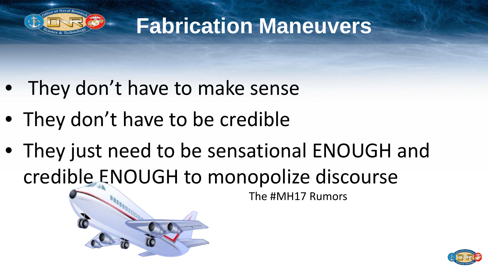

#### **Fabrication Maneuvers**

- They don't have to make sense
- They don't have to be credible
- They just need to be sensational ENOUGH and credible ENOUGH to monopolize discourse

The #MH17 Rumors

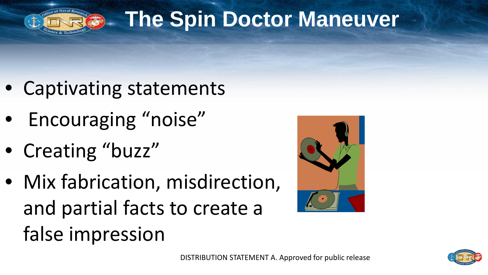

## **The Spin Doctor Maneuver**

- Captivating statements
- Encouraging "noise"
- Creating "buzz"
- Mix fabrication, misdirection, and partial facts to create a false impression



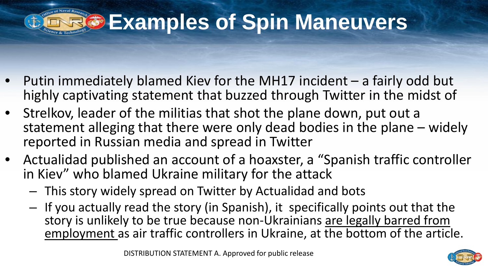

#### **Examples of Spin Maneuvers**

- Putin immediately blamed Kiev for the MH17 incident a fairly odd but highly captivating statement that buzzed through Twitter in the midst of
- Strelkov, leader of the militias that shot the plane down, put out a statement alleging that there were only dead bodies in the plane – widely reported in Russian media and spread in Twitter
- Actualidad published an account of a hoaxster, a "Spanish traffic controller in Kiev" who blamed Ukraine military for the attack
	- This story widely spread on Twitter by Actualidad and bots
	- If you actually read the story (in Spanish), it specifically points out that the story is unlikely to be true because non-Ukrainians are legally barred from employment as air traffic controllers in Ukraine, at the bottom of the article.

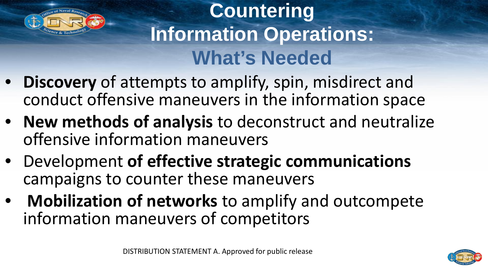

#### **Countering Information Operations: What's Needed**

- **Discovery** of attempts to amplify, spin, misdirect and conduct offensive maneuvers in the information space
- **New methods of analysis** to deconstruct and neutralize offensive information maneuvers
- Development **of effective strategic communications**  campaigns to counter these maneuvers
- **Mobilization of networks** to amplify and outcompete information maneuvers of competitors

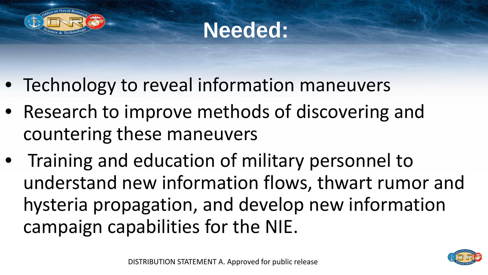



- Technology to reveal information maneuvers
- Research to improve methods of discovering and countering these maneuvers
- Training and education of military personnel to understand new information flows, thwart rumor and hysteria propagation, and develop new information campaign capabilities for the NIE.

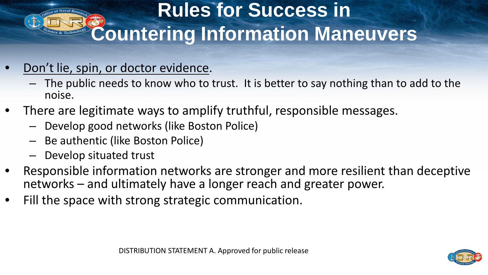#### **Rules for Success in Countering Information Maneuvers**

- Don't lie, spin, or doctor evidence.
	- The public needs to know who to trust. It is better to say nothing than to add to the noise.
- There are legitimate ways to amplify truthful, responsible messages.
	- Develop good networks (like Boston Police)
	- Be authentic (like Boston Police)
	- Develop situated trust
- Responsible information networks are stronger and more resilient than deceptive networks – and ultimately have a longer reach and greater power.
- Fill the space with strong strategic communication.